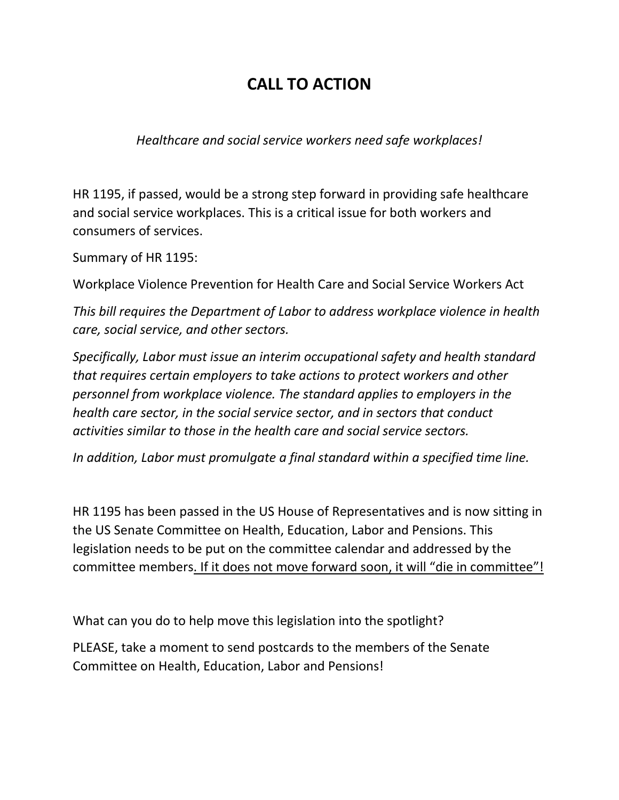## **CALL TO ACTION**

*Healthcare and social service workers need safe workplaces!*

HR 1195, if passed, would be a strong step forward in providing safe healthcare and social service workplaces. This is a critical issue for both workers and consumers of services.

Summary of HR 1195:

Workplace Violence Prevention for Health Care and Social Service Workers Act

*This bill requires the Department of Labor to address workplace violence in health care, social service, and other sectors.*

*Specifically, Labor must issue an interim occupational safety and health standard that requires certain employers to take actions to protect workers and other personnel from workplace violence. The standard applies to employers in the health care sector, in the social service sector, and in sectors that conduct activities similar to those in the health care and social service sectors.*

*In addition, Labor must promulgate a final standard within a specified time line.*

HR 1195 has been passed in the US House of Representatives and is now sitting in the US Senate Committee on Health, Education, Labor and Pensions. This legislation needs to be put on the committee calendar and addressed by the committee members. If it does not move forward soon, it will "die in committee"!

What can you do to help move this legislation into the spotlight?

PLEASE, take a moment to send postcards to the members of the Senate Committee on Health, Education, Labor and Pensions!